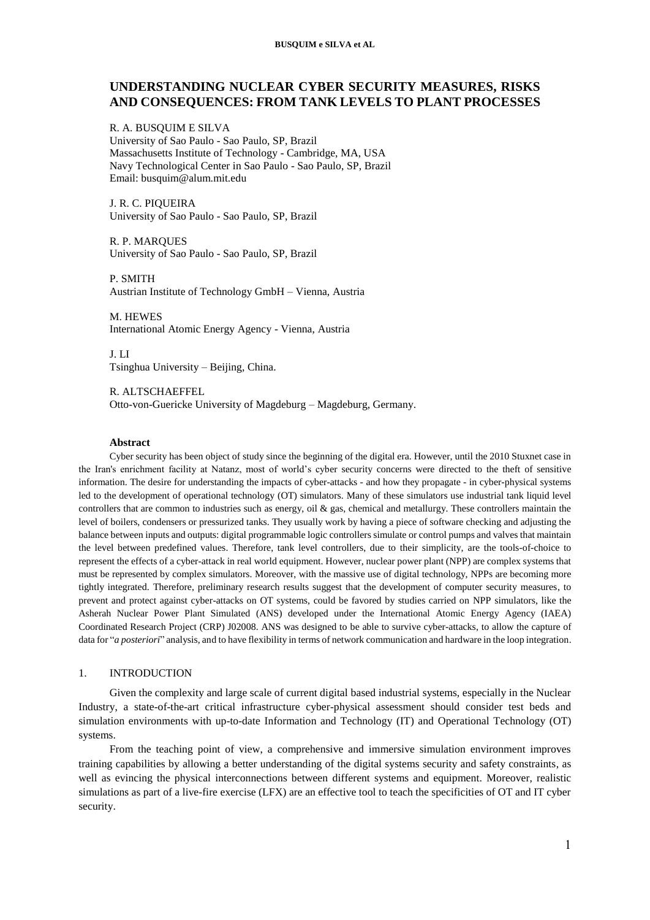#### **BUSQUIM e SILVA et AL**

# **UNDERSTANDING NUCLEAR CYBER SECURITY MEASURES, RISKS AND CONSEQUENCES: FROM TANK LEVELS TO PLANT PROCESSES**

R. A. BUSQUIM E SILVA University of Sao Paulo - Sao Paulo, SP, Brazil Massachusetts Institute of Technology - Cambridge, MA, USA Navy Technological Center in Sao Paulo - Sao Paulo, SP, Brazil Email: busquim@alum.mit.edu

J. R. C. PIQUEIRA University of Sao Paulo - Sao Paulo, SP, Brazil

R. P. MARQUES University of Sao Paulo - Sao Paulo, SP, Brazil

P. SMITH Austrian Institute of Technology GmbH – Vienna, Austria

M. HEWES International Atomic Energy Agency - Vienna, Austria

J. LI Tsinghua University – Beijing, China.

R. ALTSCHAEFFEL Otto-von-Guericke University of Magdeburg – Magdeburg, Germany.

#### **Abstract**

Cyber security has been object of study since the beginning of the digital era. However, until the 2010 Stuxnet case in the Iran's enrichment facility at Natanz, most of world's cyber security concerns were directed to the theft of sensitive information. The desire for understanding the impacts of cyber-attacks - and how they propagate - in cyber-physical systems led to the development of operational technology (OT) simulators. Many of these simulators use industrial tank liquid level controllers that are common to industries such as energy, oil & gas, chemical and metallurgy. These controllers maintain the level of boilers, condensers or pressurized tanks. They usually work by having a piece of software checking and adjusting the balance between inputs and outputs: digital programmable logic controllers simulate or control pumps and valves that maintain the level between predefined values. Therefore, tank level controllers, due to their simplicity, are the tools-of-choice to represent the effects of a cyber-attack in real world equipment. However, nuclear power plant (NPP) are complex systems that must be represented by complex simulators. Moreover, with the massive use of digital technology, NPPs are becoming more tightly integrated. Therefore, preliminary research results suggest that the development of computer security measures, to prevent and protect against cyber-attacks on OT systems, could be favored by studies carried on NPP simulators, like the Asherah Nuclear Power Plant Simulated (ANS) developed under the International Atomic Energy Agency (IAEA) Coordinated Research Project (CRP) J02008. ANS was designed to be able to survive cyber-attacks, to allow the capture of data for "*a posteriori*" analysis, and to have flexibility in terms of network communication and hardware in the loop integration.

### 1. INTRODUCTION

Given the complexity and large scale of current digital based industrial systems, especially in the Nuclear Industry, a state-of-the-art critical infrastructure cyber-physical assessment should consider test beds and simulation environments with up-to-date Information and Technology (IT) and Operational Technology (OT) systems.

From the teaching point of view, a comprehensive and immersive simulation environment improves training capabilities by allowing a better understanding of the digital systems security and safety constraints, as well as evincing the physical interconnections between different systems and equipment. Moreover, realistic simulations as part of a live-fire exercise (LFX) are an effective tool to teach the specificities of OT and IT cyber security.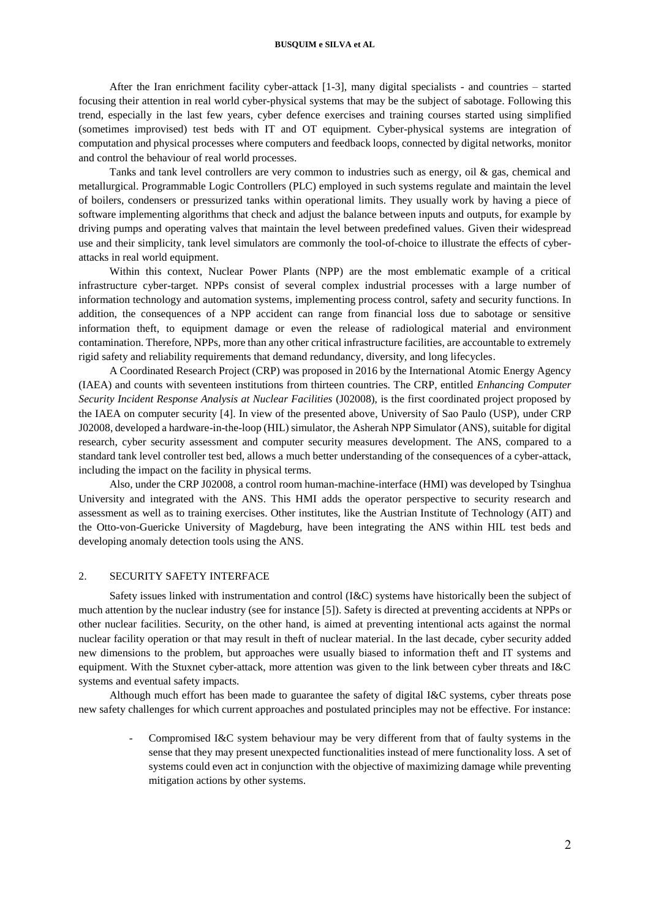After the Iran enrichment facility cyber-attack [1-3], many digital specialists - and countries – started focusing their attention in real world cyber-physical systems that may be the subject of sabotage. Following this trend, especially in the last few years, cyber defence exercises and training courses started using simplified (sometimes improvised) test beds with IT and OT equipment. Cyber-physical systems are integration of computation and physical processes where computers and feedback loops, connected by digital networks, monitor and control the behaviour of real world processes.

Tanks and tank level controllers are very common to industries such as energy, oil & gas, chemical and metallurgical. Programmable Logic Controllers (PLC) employed in such systems regulate and maintain the level of boilers, condensers or pressurized tanks within operational limits. They usually work by having a piece of software implementing algorithms that check and adjust the balance between inputs and outputs, for example by driving pumps and operating valves that maintain the level between predefined values. Given their widespread use and their simplicity, tank level simulators are commonly the tool-of-choice to illustrate the effects of cyberattacks in real world equipment.

Within this context, Nuclear Power Plants (NPP) are the most emblematic example of a critical infrastructure cyber-target. NPPs consist of several complex industrial processes with a large number of information technology and automation systems, implementing process control, safety and security functions. In addition, the consequences of a NPP accident can range from financial loss due to sabotage or sensitive information theft, to equipment damage or even the release of radiological material and environment contamination. Therefore, NPPs, more than any other critical infrastructure facilities, are accountable to extremely rigid safety and reliability requirements that demand redundancy, diversity, and long lifecycles.

A Coordinated Research Project (CRP) was proposed in 2016 by the International Atomic Energy Agency (IAEA) and counts with seventeen institutions from thirteen countries. The CRP, entitled *Enhancing Computer Security Incident Response Analysis at Nuclear Facilities* (J02008), is the first coordinated project proposed by the IAEA on computer security [4]. In view of the presented above, University of Sao Paulo (USP), under CRP J02008, developed a hardware-in-the-loop (HIL) simulator, the Asherah NPP Simulator (ANS), suitable for digital research, cyber security assessment and computer security measures development. The ANS, compared to a standard tank level controller test bed, allows a much better understanding of the consequences of a cyber-attack, including the impact on the facility in physical terms.

Also, under the CRP J02008, a control room human-machine-interface (HMI) was developed by Tsinghua University and integrated with the ANS. This HMI adds the operator perspective to security research and assessment as well as to training exercises. Other institutes, like the Austrian Institute of Technology (AIT) and the Otto-von-Guericke University of Magdeburg, have been integrating the ANS within HIL test beds and developing anomaly detection tools using the ANS.

#### 2. SECURITY SAFETY INTERFACE

Safety issues linked with instrumentation and control (I&C) systems have historically been the subject of much attention by the nuclear industry (see for instance [5]). Safety is directed at preventing accidents at NPPs or other nuclear facilities. Security, on the other hand, is aimed at preventing intentional acts against the normal nuclear facility operation or that may result in theft of nuclear material. In the last decade, cyber security added new dimensions to the problem, but approaches were usually biased to information theft and IT systems and equipment. With the Stuxnet cyber-attack, more attention was given to the link between cyber threats and I&C systems and eventual safety impacts.

Although much effort has been made to guarantee the safety of digital I&C systems, cyber threats pose new safety challenges for which current approaches and postulated principles may not be effective. For instance:

Compromised I&C system behaviour may be very different from that of faulty systems in the sense that they may present unexpected functionalities instead of mere functionality loss. A set of systems could even act in conjunction with the objective of maximizing damage while preventing mitigation actions by other systems.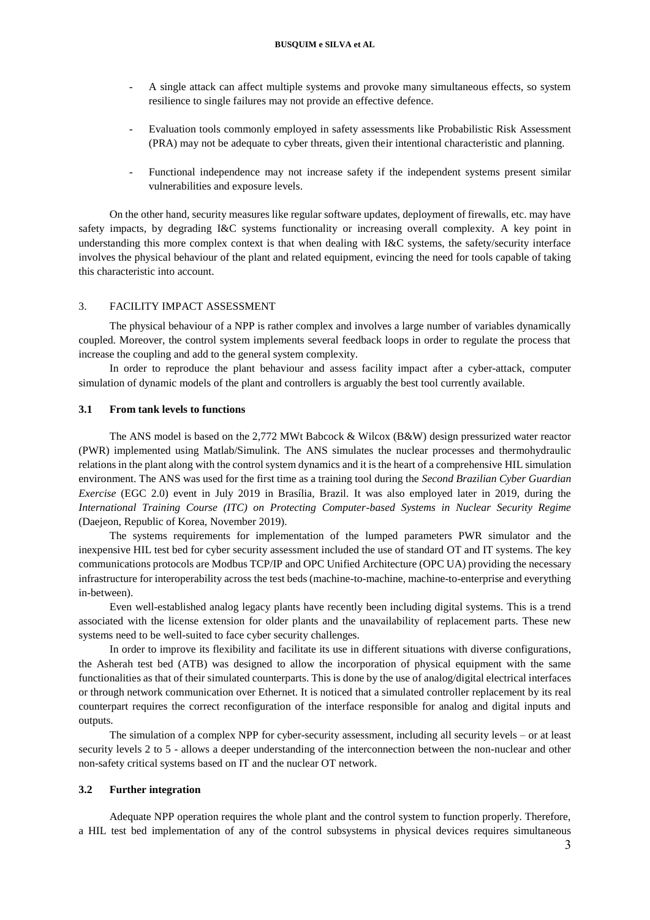- A single attack can affect multiple systems and provoke many simultaneous effects, so system resilience to single failures may not provide an effective defence.
- Evaluation tools commonly employed in safety assessments like Probabilistic Risk Assessment (PRA) may not be adequate to cyber threats, given their intentional characteristic and planning.
- Functional independence may not increase safety if the independent systems present similar vulnerabilities and exposure levels.

On the other hand, security measures like regular software updates, deployment of firewalls, etc. may have safety impacts, by degrading I&C systems functionality or increasing overall complexity. A key point in understanding this more complex context is that when dealing with I&C systems, the safety/security interface involves the physical behaviour of the plant and related equipment, evincing the need for tools capable of taking this characteristic into account.

### 3. FACILITY IMPACT ASSESSMENT

The physical behaviour of a NPP is rather complex and involves a large number of variables dynamically coupled. Moreover, the control system implements several feedback loops in order to regulate the process that increase the coupling and add to the general system complexity.

In order to reproduce the plant behaviour and assess facility impact after a cyber-attack, computer simulation of dynamic models of the plant and controllers is arguably the best tool currently available.

### **3.1 From tank levels to functions**

The ANS model is based on the 2,772 MWt Babcock & Wilcox (B&W) design pressurized water reactor (PWR) implemented using Matlab/Simulink. The ANS simulates the nuclear processes and thermohydraulic relations in the plant along with the control system dynamics and it is the heart of a comprehensive HIL simulation environment. The ANS was used for the first time as a training tool during the *Second Brazilian Cyber Guardian Exercise* (EGC 2.0) event in July 2019 in Brasília, Brazil. It was also employed later in 2019, during the *International Training Course (ITC) on Protecting Computer-based Systems in Nuclear Security Regime* (Daejeon, Republic of Korea, November 2019).

The systems requirements for implementation of the lumped parameters PWR simulator and the inexpensive HIL test bed for cyber security assessment included the use of standard OT and IT systems. The key communications protocols are Modbus TCP/IP and OPC Unified Architecture (OPC UA) providing the necessary infrastructure for interoperability across the test beds (machine-to-machine, machine-to-enterprise and everything in-between).

Even well-established analog legacy plants have recently been including digital systems. This is a trend associated with the license extension for older plants and the unavailability of replacement parts. These new systems need to be well-suited to face cyber security challenges.

In order to improve its flexibility and facilitate its use in different situations with diverse configurations, the Asherah test bed (ATB) was designed to allow the incorporation of physical equipment with the same functionalities as that of their simulated counterparts. This is done by the use of analog/digital electrical interfaces or through network communication over Ethernet. It is noticed that a simulated controller replacement by its real counterpart requires the correct reconfiguration of the interface responsible for analog and digital inputs and outputs.

The simulation of a complex NPP for cyber-security assessment, including all security levels – or at least security levels 2 to 5 - allows a deeper understanding of the interconnection between the non-nuclear and other non-safety critical systems based on IT and the nuclear OT network.

# **3.2 Further integration**

Adequate NPP operation requires the whole plant and the control system to function properly. Therefore, a HIL test bed implementation of any of the control subsystems in physical devices requires simultaneous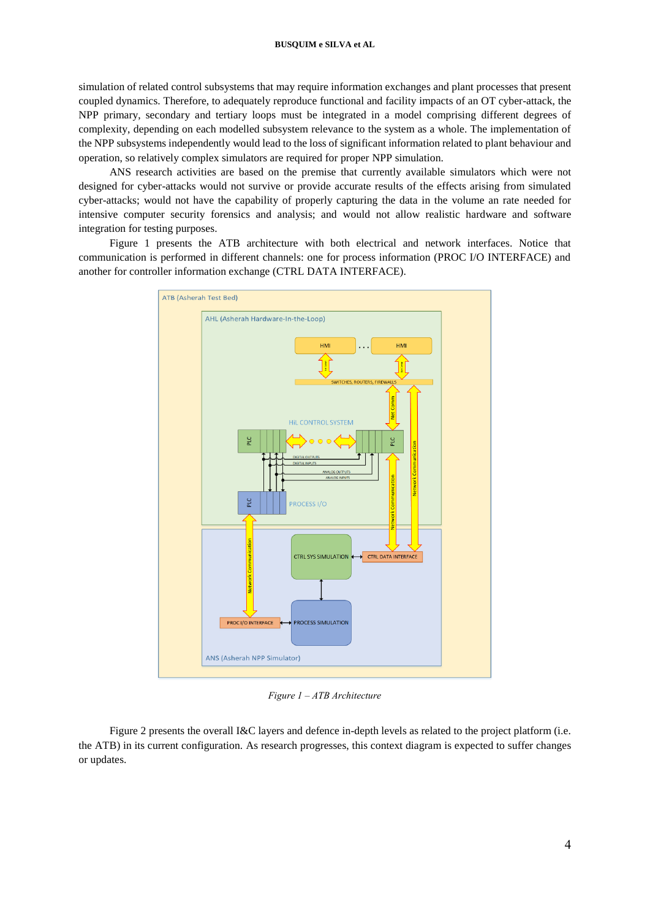simulation of related control subsystems that may require information exchanges and plant processes that present coupled dynamics. Therefore, to adequately reproduce functional and facility impacts of an OT cyber-attack, the NPP primary, secondary and tertiary loops must be integrated in a model comprising different degrees of complexity, depending on each modelled subsystem relevance to the system as a whole. The implementation of the NPP subsystems independently would lead to the loss of significant information related to plant behaviour and operation, so relatively complex simulators are required for proper NPP simulation.

ANS research activities are based on the premise that currently available simulators which were not designed for cyber-attacks would not survive or provide accurate results of the effects arising from simulated cyber-attacks; would not have the capability of properly capturing the data in the volume an rate needed for intensive computer security forensics and analysis; and would not allow realistic hardware and software integration for testing purposes.

Figure 1 presents the ATB architecture with both electrical and network interfaces. Notice that communication is performed in different channels: one for process information (PROC I/O INTERFACE) and another for controller information exchange (CTRL DATA INTERFACE).



*Figure 1 – ATB Architecture*

Figure 2 presents the overall I&C layers and defence in-depth levels as related to the project platform (i.e. the ATB) in its current configuration. As research progresses, this context diagram is expected to suffer changes or updates.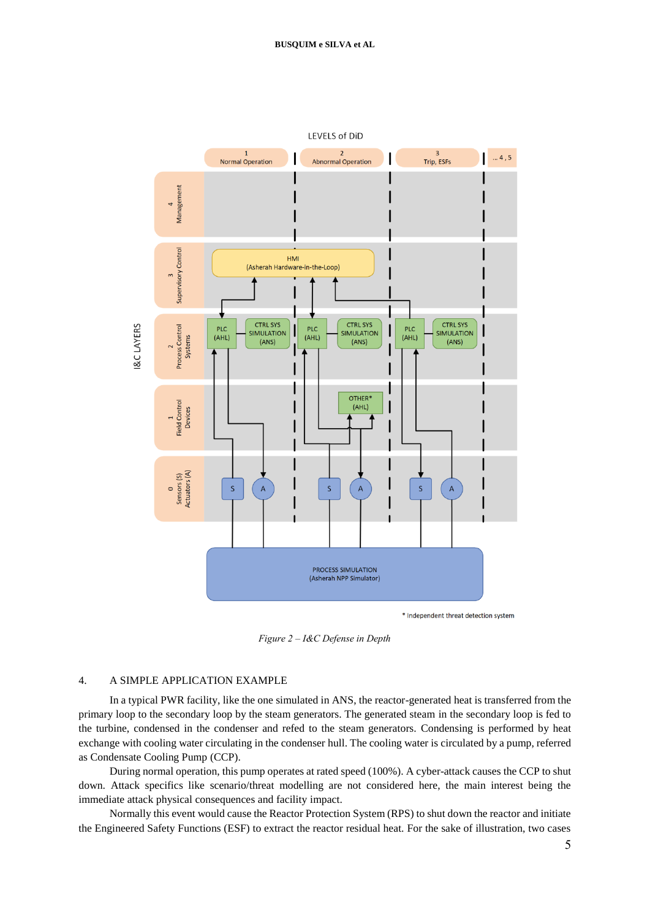

*Figure 2 – I&C Defense in Depth*

## 4. A SIMPLE APPLICATION EXAMPLE

In a typical PWR facility, like the one simulated in ANS, the reactor-generated heat is transferred from the primary loop to the secondary loop by the steam generators. The generated steam in the secondary loop is fed to the turbine, condensed in the condenser and refed to the steam generators. Condensing is performed by heat exchange with cooling water circulating in the condenser hull. The cooling water is circulated by a pump, referred as Condensate Cooling Pump (CCP).

During normal operation, this pump operates at rated speed (100%). A cyber-attack causes the CCP to shut down. Attack specifics like scenario/threat modelling are not considered here, the main interest being the immediate attack physical consequences and facility impact.

Normally this event would cause the Reactor Protection System (RPS) to shut down the reactor and initiate the Engineered Safety Functions (ESF) to extract the reactor residual heat. For the sake of illustration, two cases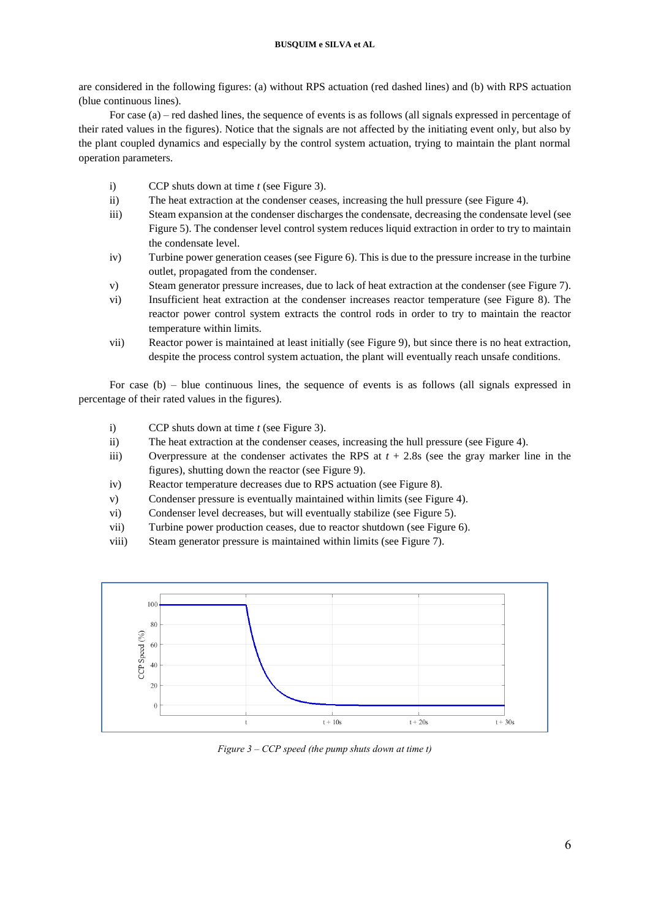are considered in the following figures: (a) without RPS actuation (red dashed lines) and (b) with RPS actuation (blue continuous lines).

For case (a) – red dashed lines, the sequence of events is as follows (all signals expressed in percentage of their rated values in the figures). Notice that the signals are not affected by the initiating event only, but also by the plant coupled dynamics and especially by the control system actuation, trying to maintain the plant normal operation parameters.

- i) CCP shuts down at time *t* (see Figure 3).
- ii) The heat extraction at the condenser ceases, increasing the hull pressure (see Figure 4).
- iii) Steam expansion at the condenser discharges the condensate, decreasing the condensate level (see Figure 5). The condenser level control system reduces liquid extraction in order to try to maintain the condensate level.
- iv) Turbine power generation ceases (see Figure 6). This is due to the pressure increase in the turbine outlet, propagated from the condenser.
- v) Steam generator pressure increases, due to lack of heat extraction at the condenser (see Figure 7).
- vi) Insufficient heat extraction at the condenser increases reactor temperature (see Figure 8). The reactor power control system extracts the control rods in order to try to maintain the reactor temperature within limits.
- vii) Reactor power is maintained at least initially (see Figure 9), but since there is no heat extraction, despite the process control system actuation, the plant will eventually reach unsafe conditions.

For case (b) – blue continuous lines, the sequence of events is as follows (all signals expressed in percentage of their rated values in the figures).

- i) CCP shuts down at time *t* (see Figure 3).
- ii) The heat extraction at the condenser ceases, increasing the hull pressure (see Figure 4).
- iii) Overpressure at the condenser activates the RPS at *t* + 2.8s (see the gray marker line in the figures), shutting down the reactor (see Figure 9).
- iv) Reactor temperature decreases due to RPS actuation (see Figure 8).
- v) Condenser pressure is eventually maintained within limits (see Figure 4).
- vi) Condenser level decreases, but will eventually stabilize (see Figure 5).
- vii) Turbine power production ceases, due to reactor shutdown (see Figure 6).
- viii) Steam generator pressure is maintained within limits (see Figure 7).



*Figure 3 – CCP speed (the pump shuts down at time t)*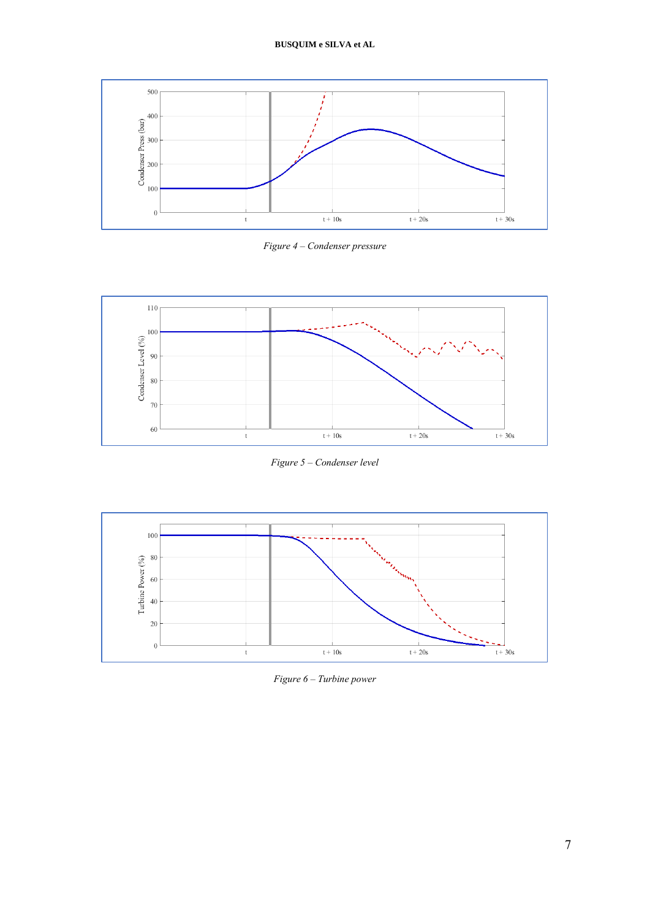

*Figure 4 – Condenser pressure*



*Figure 5 – Condenser level*



*Figure 6 – Turbine power*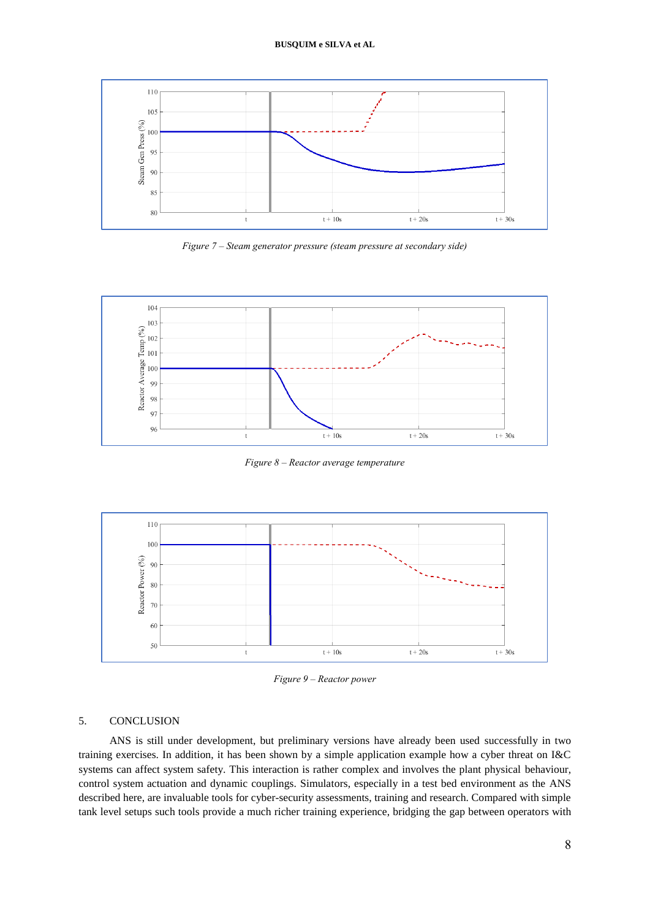

*Figure 7 – Steam generator pressure (steam pressure at secondary side)*



*Figure 8 – Reactor average temperature*



*Figure 9 – Reactor power*

### 5. CONCLUSION

ANS is still under development, but preliminary versions have already been used successfully in two training exercises. In addition, it has been shown by a simple application example how a cyber threat on I&C systems can affect system safety. This interaction is rather complex and involves the plant physical behaviour, control system actuation and dynamic couplings. Simulators, especially in a test bed environment as the ANS described here, are invaluable tools for cyber-security assessments, training and research. Compared with simple tank level setups such tools provide a much richer training experience, bridging the gap between operators with